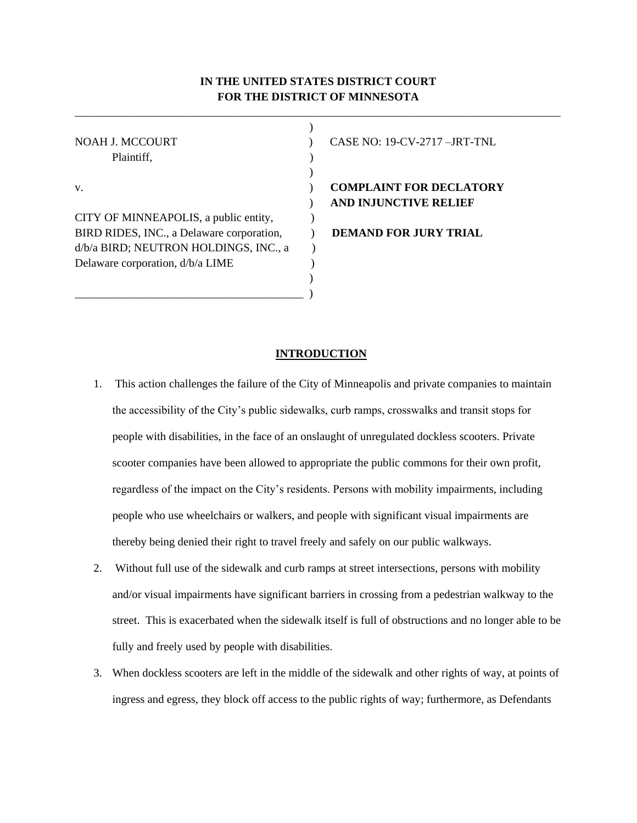# **IN THE UNITED STATES DISTRICT COURT FOR THE DISTRICT OF MINNESOTA**

\_\_\_\_\_\_\_\_\_\_\_\_\_\_\_\_\_\_\_\_\_\_\_\_\_\_\_\_\_\_\_\_\_\_\_\_\_\_\_\_\_\_\_\_\_\_\_\_\_\_\_\_\_\_\_\_\_\_\_\_\_\_\_\_\_\_\_\_\_\_\_\_\_\_\_\_\_\_\_\_\_\_\_\_\_

| NOAH J. MCCOURT                           | <b>CASE NO: 19-</b> |
|-------------------------------------------|---------------------|
| Plaintiff,                                |                     |
|                                           |                     |
| V.                                        | <b>COMPLAINT</b>    |
|                                           | <b>AND INJUNC</b>   |
| CITY OF MINNEAPOLIS, a public entity,     |                     |
| BIRD RIDES, INC., a Delaware corporation, | <b>DEMAND FC</b>    |
| d/b/a BIRD; NEUTRON HOLDINGS, INC., a     |                     |
| Delaware corporation, d/b/a LIME          |                     |
|                                           |                     |
|                                           |                     |

# **INTRODUCTION**

- 1. This action challenges the failure of the City of Minneapolis and private companies to maintain the accessibility of the City's public sidewalks, curb ramps, crosswalks and transit stops for people with disabilities, in the face of an onslaught of unregulated dockless scooters. Private scooter companies have been allowed to appropriate the public commons for their own profit, regardless of the impact on the City's residents. Persons with mobility impairments, including people who use wheelchairs or walkers, and people with significant visual impairments are thereby being denied their right to travel freely and safely on our public walkways.
- 2. Without full use of the sidewalk and curb ramps at street intersections, persons with mobility and/or visual impairments have significant barriers in crossing from a pedestrian walkway to the street. This is exacerbated when the sidewalk itself is full of obstructions and no longer able to be fully and freely used by people with disabilities.
- 3. When dockless scooters are left in the middle of the sidewalk and other rights of way, at points of ingress and egress, they block off access to the public rights of way; furthermore, as Defendants

-CV-2717 –JRT-TNL

# **FOR DECLATORY TIVE RELIEF**

BIRD RIDES, INC., a Delaware corporation, ) **DEMAND FOR JURY TRIAL**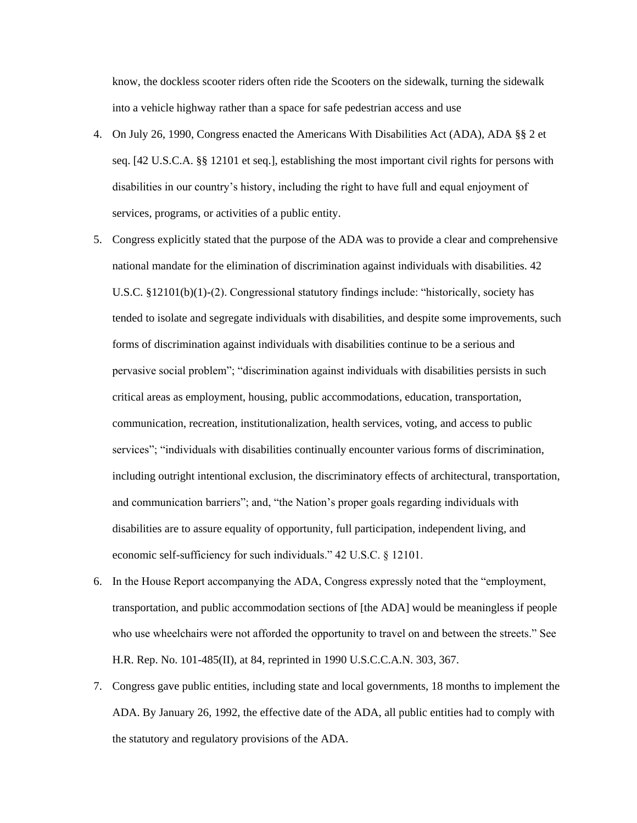know, the dockless scooter riders often ride the Scooters on the sidewalk, turning the sidewalk into a vehicle highway rather than a space for safe pedestrian access and use

- 4. On July 26, 1990, Congress enacted the Americans With Disabilities Act (ADA), ADA §§ 2 et seq. [42 U.S.C.A. §§ 12101 et seq.], establishing the most important civil rights for persons with disabilities in our country's history, including the right to have full and equal enjoyment of services, programs, or activities of a public entity.
- 5. Congress explicitly stated that the purpose of the ADA was to provide a clear and comprehensive national mandate for the elimination of discrimination against individuals with disabilities. 42 U.S.C. §12101(b)(1)-(2). Congressional statutory findings include: "historically, society has tended to isolate and segregate individuals with disabilities, and despite some improvements, such forms of discrimination against individuals with disabilities continue to be a serious and pervasive social problem"; "discrimination against individuals with disabilities persists in such critical areas as employment, housing, public accommodations, education, transportation, communication, recreation, institutionalization, health services, voting, and access to public services"; "individuals with disabilities continually encounter various forms of discrimination, including outright intentional exclusion, the discriminatory effects of architectural, transportation, and communication barriers"; and, "the Nation's proper goals regarding individuals with disabilities are to assure equality of opportunity, full participation, independent living, and economic self-sufficiency for such individuals." 42 U.S.C. § 12101.
- 6. In the House Report accompanying the ADA, Congress expressly noted that the "employment, transportation, and public accommodation sections of [the ADA] would be meaningless if people who use wheelchairs were not afforded the opportunity to travel on and between the streets." See H.R. Rep. No. 101-485(II), at 84, reprinted in 1990 U.S.C.C.A.N. 303, 367.
- 7. Congress gave public entities, including state and local governments, 18 months to implement the ADA. By January 26, 1992, the effective date of the ADA, all public entities had to comply with the statutory and regulatory provisions of the ADA.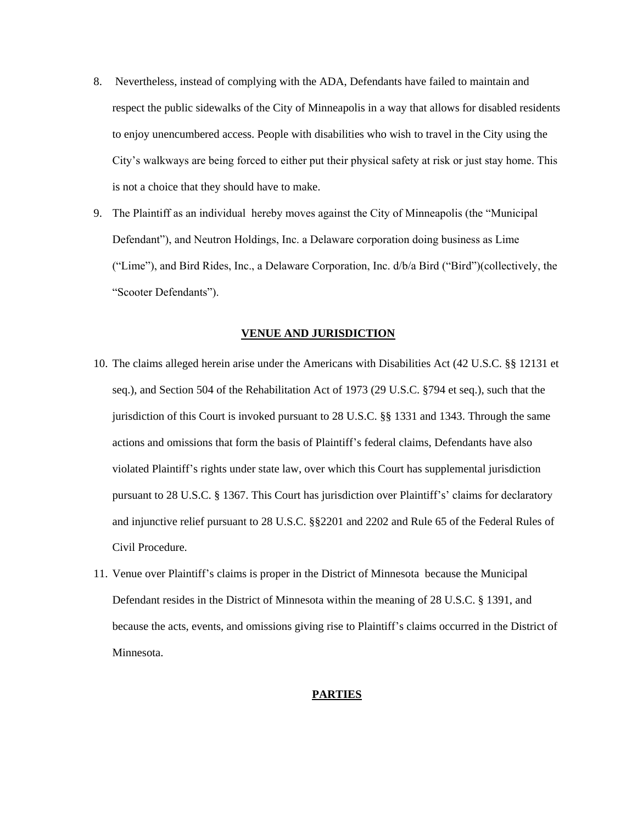- 8. Nevertheless, instead of complying with the ADA, Defendants have failed to maintain and respect the public sidewalks of the City of Minneapolis in a way that allows for disabled residents to enjoy unencumbered access. People with disabilities who wish to travel in the City using the City's walkways are being forced to either put their physical safety at risk or just stay home. This is not a choice that they should have to make.
- 9. The Plaintiff as an individual hereby moves against the City of Minneapolis (the "Municipal Defendant"), and Neutron Holdings, Inc. a Delaware corporation doing business as Lime ("Lime"), and Bird Rides, Inc., a Delaware Corporation, Inc. d/b/a Bird ("Bird")(collectively, the "Scooter Defendants").

# **VENUE AND JURISDICTION**

- 10. The claims alleged herein arise under the Americans with Disabilities Act (42 U.S.C. §§ 12131 et seq.), and Section 504 of the Rehabilitation Act of 1973 (29 U.S.C. §794 et seq.), such that the jurisdiction of this Court is invoked pursuant to 28 U.S.C. §§ 1331 and 1343. Through the same actions and omissions that form the basis of Plaintiff's federal claims, Defendants have also violated Plaintiff's rights under state law, over which this Court has supplemental jurisdiction pursuant to 28 U.S.C. § 1367. This Court has jurisdiction over Plaintiff's' claims for declaratory and injunctive relief pursuant to 28 U.S.C. §§2201 and 2202 and Rule 65 of the Federal Rules of Civil Procedure.
- 11. Venue over Plaintiff's claims is proper in the District of Minnesota because the Municipal Defendant resides in the District of Minnesota within the meaning of 28 U.S.C. § 1391, and because the acts, events, and omissions giving rise to Plaintiff's claims occurred in the District of Minnesota.

#### **PARTIES**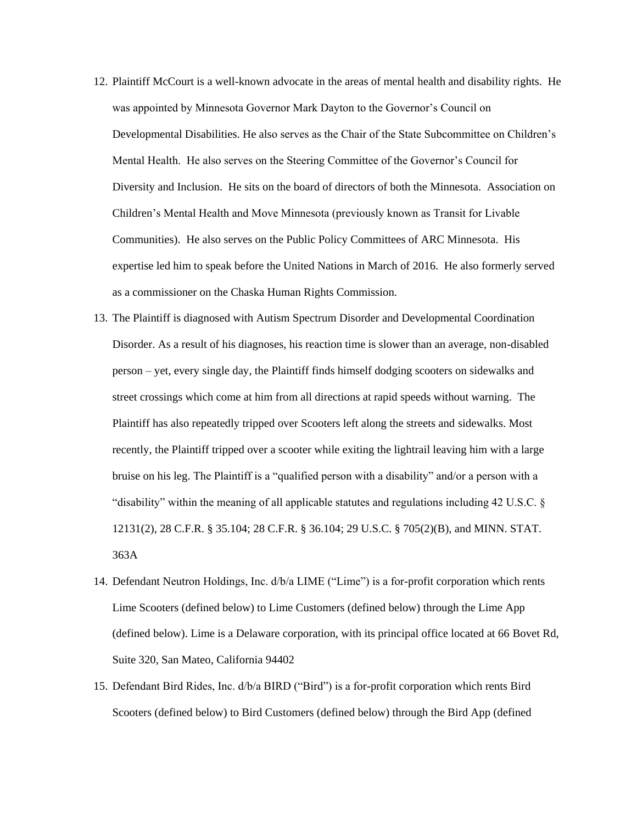- 12. Plaintiff McCourt is a well-known advocate in the areas of mental health and disability rights. He was appointed by Minnesota Governor Mark Dayton to the Governor's Council on Developmental Disabilities. He also serves as the Chair of the State Subcommittee on Children's Mental Health. He also serves on the Steering Committee of the Governor's Council for Diversity and Inclusion. He sits on the board of directors of both the Minnesota. Association on Children's Mental Health and Move Minnesota (previously known as Transit for Livable Communities). He also serves on the Public Policy Committees of ARC Minnesota. His expertise led him to speak before the United Nations in March of 2016. He also formerly served as a commissioner on the Chaska Human Rights Commission.
- 13. The Plaintiff is diagnosed with Autism Spectrum Disorder and Developmental Coordination Disorder. As a result of his diagnoses, his reaction time is slower than an average, non-disabled person – yet, every single day, the Plaintiff finds himself dodging scooters on sidewalks and street crossings which come at him from all directions at rapid speeds without warning. The Plaintiff has also repeatedly tripped over Scooters left along the streets and sidewalks. Most recently, the Plaintiff tripped over a scooter while exiting the lightrail leaving him with a large bruise on his leg. The Plaintiff is a "qualified person with a disability" and/or a person with a "disability" within the meaning of all applicable statutes and regulations including 42 U.S.C. § 12131(2), 28 C.F.R. § 35.104; 28 C.F.R. § 36.104; 29 U.S.C. § 705(2)(B), and MINN. STAT. 363A
- 14. Defendant Neutron Holdings, Inc. d/b/a LIME ("Lime") is a for-profit corporation which rents Lime Scooters (defined below) to Lime Customers (defined below) through the Lime App (defined below). Lime is a Delaware corporation, with its principal office located at 66 Bovet Rd, Suite 320, San Mateo, California 94402
- 15. Defendant Bird Rides, Inc. d/b/a BIRD ("Bird") is a for-profit corporation which rents Bird Scooters (defined below) to Bird Customers (defined below) through the Bird App (defined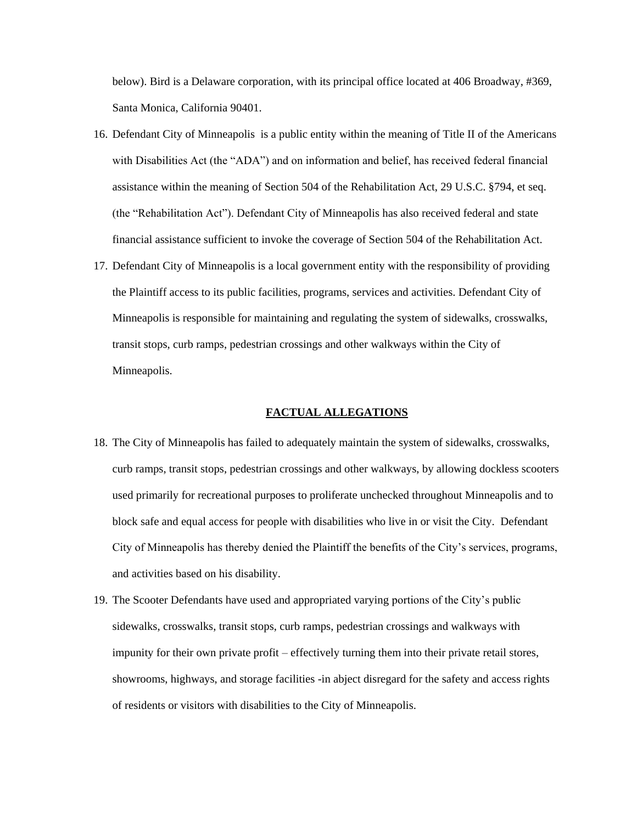below). Bird is a Delaware corporation, with its principal office located at 406 Broadway, #369, Santa Monica, California 90401.

- 16. Defendant City of Minneapolis is a public entity within the meaning of Title II of the Americans with Disabilities Act (the "ADA") and on information and belief, has received federal financial assistance within the meaning of Section 504 of the Rehabilitation Act, 29 U.S.C. §794, et seq. (the "Rehabilitation Act"). Defendant City of Minneapolis has also received federal and state financial assistance sufficient to invoke the coverage of Section 504 of the Rehabilitation Act.
- 17. Defendant City of Minneapolis is a local government entity with the responsibility of providing the Plaintiff access to its public facilities, programs, services and activities. Defendant City of Minneapolis is responsible for maintaining and regulating the system of sidewalks, crosswalks, transit stops, curb ramps, pedestrian crossings and other walkways within the City of Minneapolis.

### **FACTUAL ALLEGATIONS**

- 18. The City of Minneapolis has failed to adequately maintain the system of sidewalks, crosswalks, curb ramps, transit stops, pedestrian crossings and other walkways, by allowing dockless scooters used primarily for recreational purposes to proliferate unchecked throughout Minneapolis and to block safe and equal access for people with disabilities who live in or visit the City. Defendant City of Minneapolis has thereby denied the Plaintiff the benefits of the City's services, programs, and activities based on his disability.
- 19. The Scooter Defendants have used and appropriated varying portions of the City's public sidewalks, crosswalks, transit stops, curb ramps, pedestrian crossings and walkways with impunity for their own private profit – effectively turning them into their private retail stores, showrooms, highways, and storage facilities -in abject disregard for the safety and access rights of residents or visitors with disabilities to the City of Minneapolis.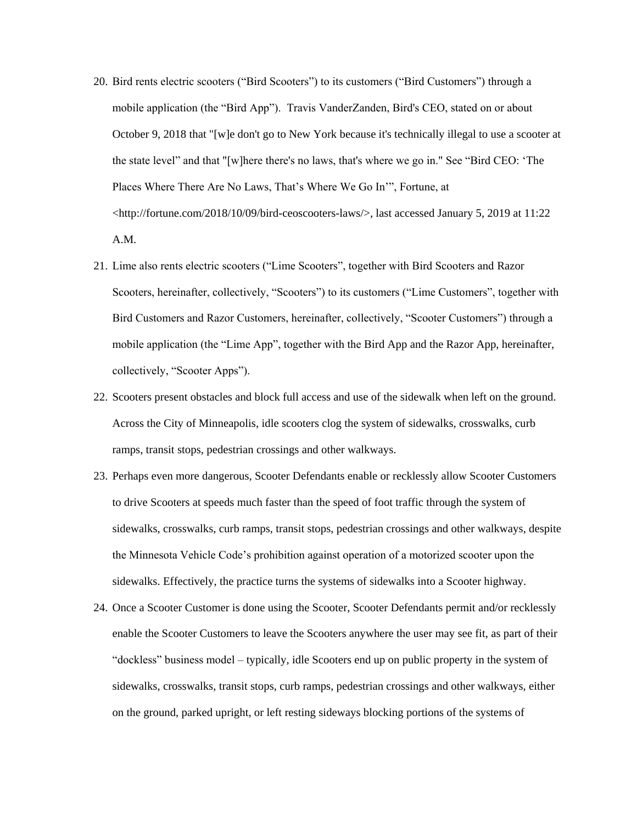- 20. Bird rents electric scooters ("Bird Scooters") to its customers ("Bird Customers") through a mobile application (the "Bird App"). Travis VanderZanden, Bird's CEO, stated on or about October 9, 2018 that "[w]e don't go to New York because it's technically illegal to use a scooter at the state level" and that "[w]here there's no laws, that's where we go in." See "Bird CEO: 'The Places Where There Are No Laws, That's Where We Go In'", Fortune, at  $\langle$ http://fortune.com/2018/10/09/bird-ceoscooters-laws/ $>$ , last accessed January 5, 2019 at 11:22 A.M.
- 21. Lime also rents electric scooters ("Lime Scooters", together with Bird Scooters and Razor Scooters, hereinafter, collectively, "Scooters") to its customers ("Lime Customers", together with Bird Customers and Razor Customers, hereinafter, collectively, "Scooter Customers") through a mobile application (the "Lime App", together with the Bird App and the Razor App, hereinafter, collectively, "Scooter Apps").
- 22. Scooters present obstacles and block full access and use of the sidewalk when left on the ground. Across the City of Minneapolis, idle scooters clog the system of sidewalks, crosswalks, curb ramps, transit stops, pedestrian crossings and other walkways.
- 23. Perhaps even more dangerous, Scooter Defendants enable or recklessly allow Scooter Customers to drive Scooters at speeds much faster than the speed of foot traffic through the system of sidewalks, crosswalks, curb ramps, transit stops, pedestrian crossings and other walkways, despite the Minnesota Vehicle Code's prohibition against operation of a motorized scooter upon the sidewalks. Effectively, the practice turns the systems of sidewalks into a Scooter highway.
- 24. Once a Scooter Customer is done using the Scooter, Scooter Defendants permit and/or recklessly enable the Scooter Customers to leave the Scooters anywhere the user may see fit, as part of their "dockless" business model – typically, idle Scooters end up on public property in the system of sidewalks, crosswalks, transit stops, curb ramps, pedestrian crossings and other walkways, either on the ground, parked upright, or left resting sideways blocking portions of the systems of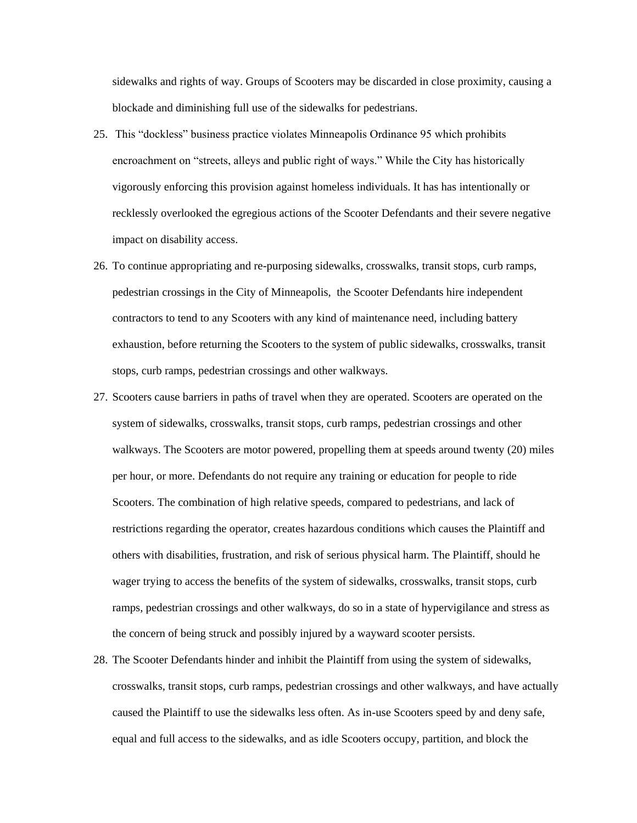sidewalks and rights of way. Groups of Scooters may be discarded in close proximity, causing a blockade and diminishing full use of the sidewalks for pedestrians.

- 25. This "dockless" business practice violates Minneapolis Ordinance 95 which prohibits encroachment on "streets, alleys and public right of ways." While the City has historically vigorously enforcing this provision against homeless individuals. It has has intentionally or recklessly overlooked the egregious actions of the Scooter Defendants and their severe negative impact on disability access.
- 26. To continue appropriating and re-purposing sidewalks, crosswalks, transit stops, curb ramps, pedestrian crossings in the City of Minneapolis, the Scooter Defendants hire independent contractors to tend to any Scooters with any kind of maintenance need, including battery exhaustion, before returning the Scooters to the system of public sidewalks, crosswalks, transit stops, curb ramps, pedestrian crossings and other walkways.
- 27. Scooters cause barriers in paths of travel when they are operated. Scooters are operated on the system of sidewalks, crosswalks, transit stops, curb ramps, pedestrian crossings and other walkways. The Scooters are motor powered, propelling them at speeds around twenty (20) miles per hour, or more. Defendants do not require any training or education for people to ride Scooters. The combination of high relative speeds, compared to pedestrians, and lack of restrictions regarding the operator, creates hazardous conditions which causes the Plaintiff and others with disabilities, frustration, and risk of serious physical harm. The Plaintiff, should he wager trying to access the benefits of the system of sidewalks, crosswalks, transit stops, curb ramps, pedestrian crossings and other walkways, do so in a state of hypervigilance and stress as the concern of being struck and possibly injured by a wayward scooter persists.
- 28. The Scooter Defendants hinder and inhibit the Plaintiff from using the system of sidewalks, crosswalks, transit stops, curb ramps, pedestrian crossings and other walkways, and have actually caused the Plaintiff to use the sidewalks less often. As in-use Scooters speed by and deny safe, equal and full access to the sidewalks, and as idle Scooters occupy, partition, and block the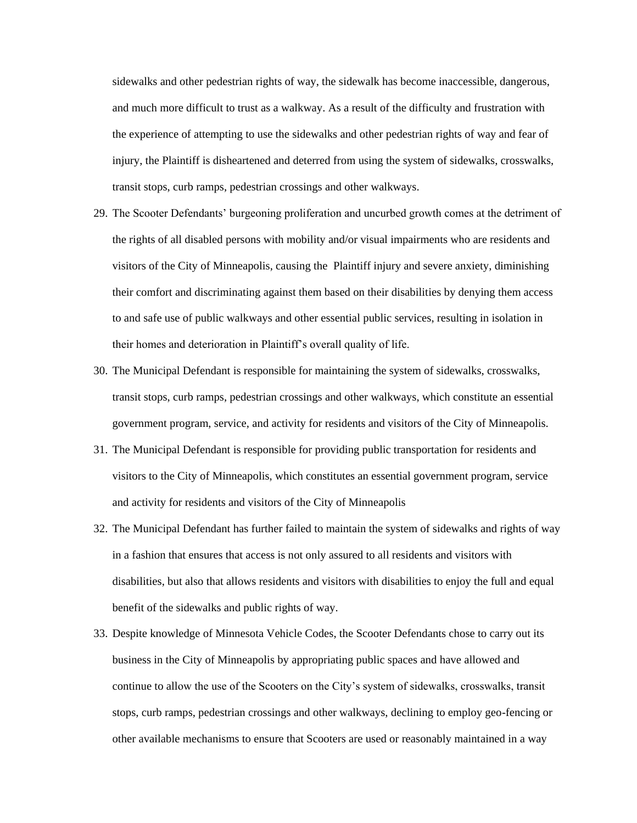sidewalks and other pedestrian rights of way, the sidewalk has become inaccessible, dangerous, and much more difficult to trust as a walkway. As a result of the difficulty and frustration with the experience of attempting to use the sidewalks and other pedestrian rights of way and fear of injury, the Plaintiff is disheartened and deterred from using the system of sidewalks, crosswalks, transit stops, curb ramps, pedestrian crossings and other walkways.

- 29. The Scooter Defendants' burgeoning proliferation and uncurbed growth comes at the detriment of the rights of all disabled persons with mobility and/or visual impairments who are residents and visitors of the City of Minneapolis, causing the Plaintiff injury and severe anxiety, diminishing their comfort and discriminating against them based on their disabilities by denying them access to and safe use of public walkways and other essential public services, resulting in isolation in their homes and deterioration in Plaintiff's overall quality of life.
- 30. The Municipal Defendant is responsible for maintaining the system of sidewalks, crosswalks, transit stops, curb ramps, pedestrian crossings and other walkways, which constitute an essential government program, service, and activity for residents and visitors of the City of Minneapolis.
- 31. The Municipal Defendant is responsible for providing public transportation for residents and visitors to the City of Minneapolis, which constitutes an essential government program, service and activity for residents and visitors of the City of Minneapolis
- 32. The Municipal Defendant has further failed to maintain the system of sidewalks and rights of way in a fashion that ensures that access is not only assured to all residents and visitors with disabilities, but also that allows residents and visitors with disabilities to enjoy the full and equal benefit of the sidewalks and public rights of way.
- 33. Despite knowledge of Minnesota Vehicle Codes, the Scooter Defendants chose to carry out its business in the City of Minneapolis by appropriating public spaces and have allowed and continue to allow the use of the Scooters on the City's system of sidewalks, crosswalks, transit stops, curb ramps, pedestrian crossings and other walkways, declining to employ geo-fencing or other available mechanisms to ensure that Scooters are used or reasonably maintained in a way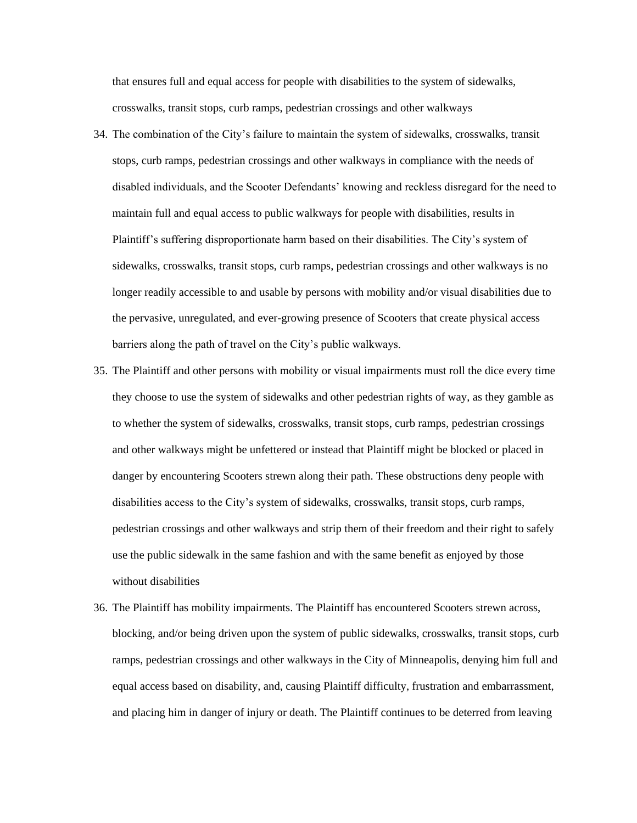that ensures full and equal access for people with disabilities to the system of sidewalks, crosswalks, transit stops, curb ramps, pedestrian crossings and other walkways

- 34. The combination of the City's failure to maintain the system of sidewalks, crosswalks, transit stops, curb ramps, pedestrian crossings and other walkways in compliance with the needs of disabled individuals, and the Scooter Defendants' knowing and reckless disregard for the need to maintain full and equal access to public walkways for people with disabilities, results in Plaintiff's suffering disproportionate harm based on their disabilities. The City's system of sidewalks, crosswalks, transit stops, curb ramps, pedestrian crossings and other walkways is no longer readily accessible to and usable by persons with mobility and/or visual disabilities due to the pervasive, unregulated, and ever-growing presence of Scooters that create physical access barriers along the path of travel on the City's public walkways.
- 35. The Plaintiff and other persons with mobility or visual impairments must roll the dice every time they choose to use the system of sidewalks and other pedestrian rights of way, as they gamble as to whether the system of sidewalks, crosswalks, transit stops, curb ramps, pedestrian crossings and other walkways might be unfettered or instead that Plaintiff might be blocked or placed in danger by encountering Scooters strewn along their path. These obstructions deny people with disabilities access to the City's system of sidewalks, crosswalks, transit stops, curb ramps, pedestrian crossings and other walkways and strip them of their freedom and their right to safely use the public sidewalk in the same fashion and with the same benefit as enjoyed by those without disabilities
- 36. The Plaintiff has mobility impairments. The Plaintiff has encountered Scooters strewn across, blocking, and/or being driven upon the system of public sidewalks, crosswalks, transit stops, curb ramps, pedestrian crossings and other walkways in the City of Minneapolis, denying him full and equal access based on disability, and, causing Plaintiff difficulty, frustration and embarrassment, and placing him in danger of injury or death. The Plaintiff continues to be deterred from leaving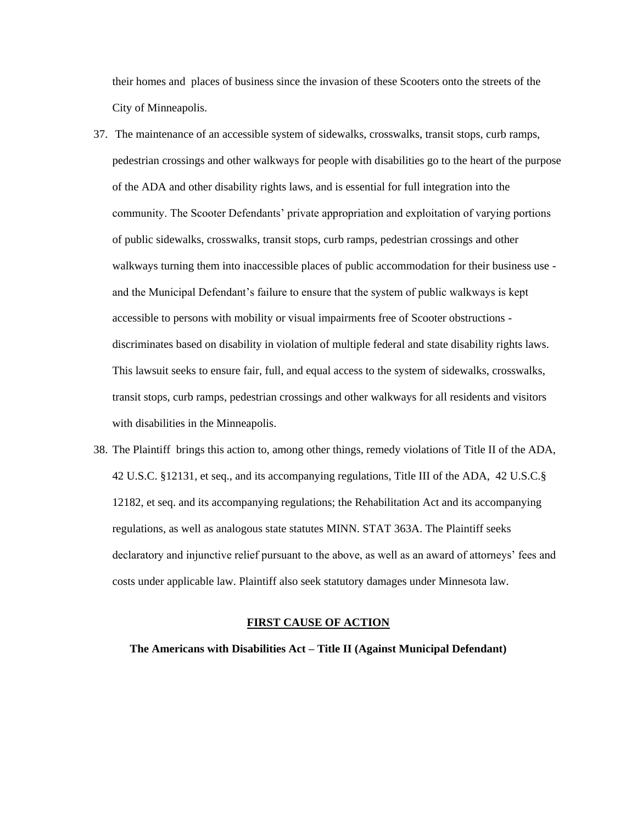their homes and places of business since the invasion of these Scooters onto the streets of the City of Minneapolis.

- 37. The maintenance of an accessible system of sidewalks, crosswalks, transit stops, curb ramps, pedestrian crossings and other walkways for people with disabilities go to the heart of the purpose of the ADA and other disability rights laws, and is essential for full integration into the community. The Scooter Defendants' private appropriation and exploitation of varying portions of public sidewalks, crosswalks, transit stops, curb ramps, pedestrian crossings and other walkways turning them into inaccessible places of public accommodation for their business use and the Municipal Defendant's failure to ensure that the system of public walkways is kept accessible to persons with mobility or visual impairments free of Scooter obstructions discriminates based on disability in violation of multiple federal and state disability rights laws. This lawsuit seeks to ensure fair, full, and equal access to the system of sidewalks, crosswalks, transit stops, curb ramps, pedestrian crossings and other walkways for all residents and visitors with disabilities in the Minneapolis.
- 38. The Plaintiff brings this action to, among other things, remedy violations of Title II of the ADA, 42 U.S.C. §12131, et seq., and its accompanying regulations, Title III of the ADA, 42 U.S.C.§ 12182, et seq. and its accompanying regulations; the Rehabilitation Act and its accompanying regulations, as well as analogous state statutes MINN. STAT 363A. The Plaintiff seeks declaratory and injunctive relief pursuant to the above, as well as an award of attorneys' fees and costs under applicable law. Plaintiff also seek statutory damages under Minnesota law.

# **FIRST CAUSE OF ACTION**

**The Americans with Disabilities Act – Title II (Against Municipal Defendant)**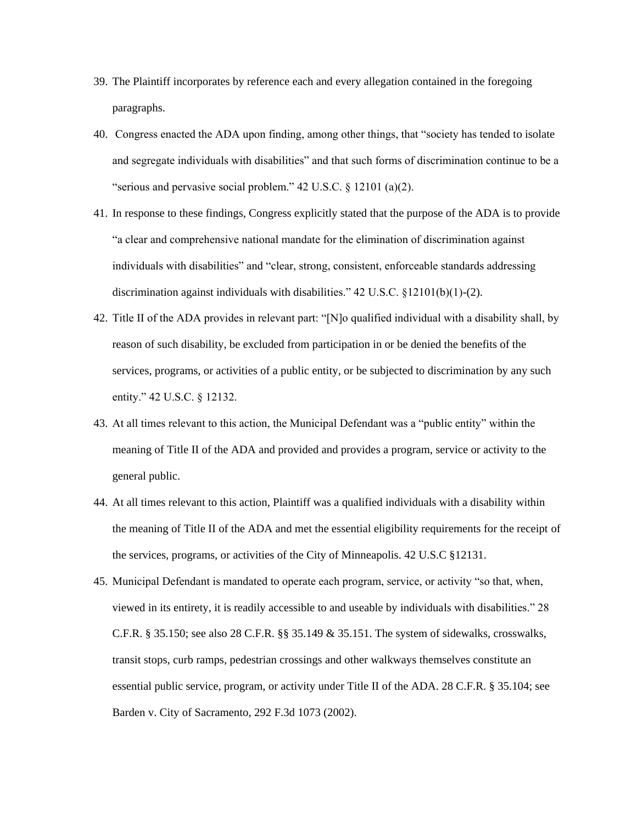- 39. The Plaintiff incorporates by reference each and every allegation contained in the foregoing paragraphs.
- 40. Congress enacted the ADA upon finding, among other things, that "society has tended to isolate and segregate individuals with disabilities" and that such forms of discrimination continue to be a "serious and pervasive social problem." 42 U.S.C. § 12101 (a)(2).
- 41. In response to these findings, Congress explicitly stated that the purpose of the ADA is to provide "a clear and comprehensive national mandate for the elimination of discrimination against individuals with disabilities" and "clear, strong, consistent, enforceable standards addressing discrimination against individuals with disabilities." 42 U.S.C. §12101(b)(1)-(2).
- 42. Title II of the ADA provides in relevant part: "[N]o qualified individual with a disability shall, by reason of such disability, be excluded from participation in or be denied the benefits of the services, programs, or activities of a public entity, or be subjected to discrimination by any such entity." 42 U.S.C. § 12132.
- 43. At all times relevant to this action, the Municipal Defendant was a "public entity" within the meaning of Title II of the ADA and provided and provides a program, service or activity to the general public.
- 44. At all times relevant to this action, Plaintiff was a qualified individuals with a disability within the meaning of Title II of the ADA and met the essential eligibility requirements for the receipt of the services, programs, or activities of the City of Minneapolis. 42 U.S.C §12131.
- 45. Municipal Defendant is mandated to operate each program, service, or activity "so that, when, viewed in its entirety, it is readily accessible to and useable by individuals with disabilities." 28 C.F.R. § 35.150; see also 28 C.F.R. §§ 35.149 & 35.151. The system of sidewalks, crosswalks, transit stops, curb ramps, pedestrian crossings and other walkways themselves constitute an essential public service, program, or activity under Title II of the ADA. 28 C.F.R. § 35.104; see Barden v. City of Sacramento, 292 F.3d 1073 (2002).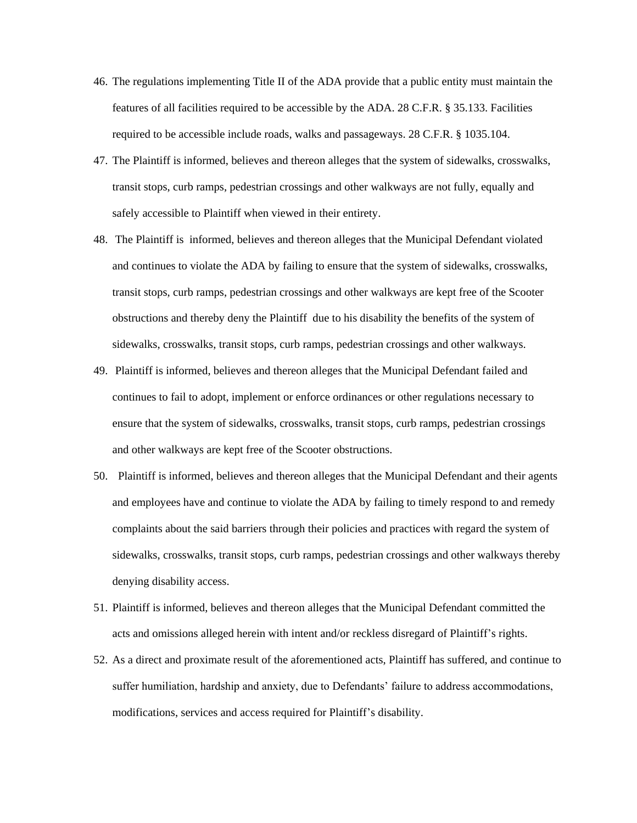- 46. The regulations implementing Title II of the ADA provide that a public entity must maintain the features of all facilities required to be accessible by the ADA. 28 C.F.R. § 35.133. Facilities required to be accessible include roads, walks and passageways. 28 C.F.R. § 1035.104.
- 47. The Plaintiff is informed, believes and thereon alleges that the system of sidewalks, crosswalks, transit stops, curb ramps, pedestrian crossings and other walkways are not fully, equally and safely accessible to Plaintiff when viewed in their entirety.
- 48. The Plaintiff is informed, believes and thereon alleges that the Municipal Defendant violated and continues to violate the ADA by failing to ensure that the system of sidewalks, crosswalks, transit stops, curb ramps, pedestrian crossings and other walkways are kept free of the Scooter obstructions and thereby deny the Plaintiff due to his disability the benefits of the system of sidewalks, crosswalks, transit stops, curb ramps, pedestrian crossings and other walkways.
- 49. Plaintiff is informed, believes and thereon alleges that the Municipal Defendant failed and continues to fail to adopt, implement or enforce ordinances or other regulations necessary to ensure that the system of sidewalks, crosswalks, transit stops, curb ramps, pedestrian crossings and other walkways are kept free of the Scooter obstructions.
- 50. Plaintiff is informed, believes and thereon alleges that the Municipal Defendant and their agents and employees have and continue to violate the ADA by failing to timely respond to and remedy complaints about the said barriers through their policies and practices with regard the system of sidewalks, crosswalks, transit stops, curb ramps, pedestrian crossings and other walkways thereby denying disability access.
- 51. Plaintiff is informed, believes and thereon alleges that the Municipal Defendant committed the acts and omissions alleged herein with intent and/or reckless disregard of Plaintiff's rights.
- 52. As a direct and proximate result of the aforementioned acts, Plaintiff has suffered, and continue to suffer humiliation, hardship and anxiety, due to Defendants' failure to address accommodations, modifications, services and access required for Plaintiff's disability.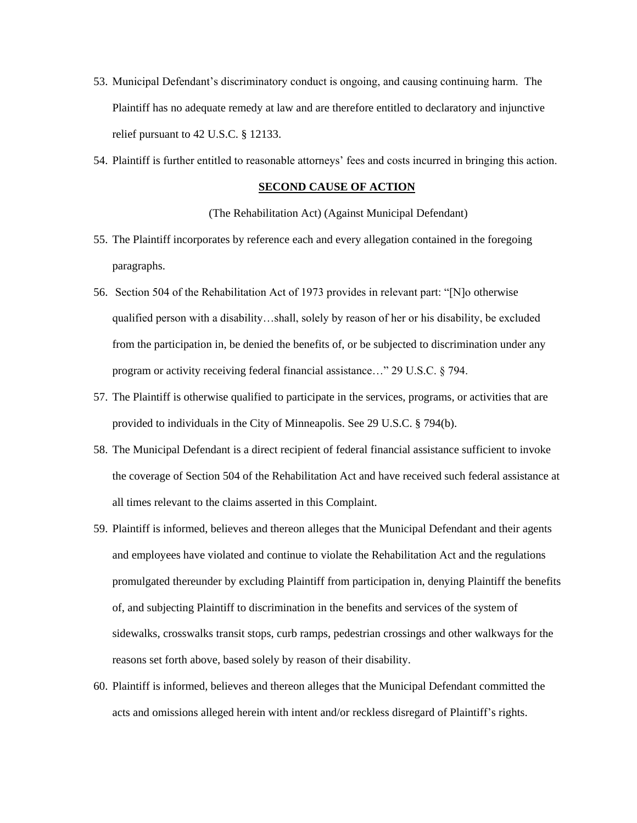- 53. Municipal Defendant's discriminatory conduct is ongoing, and causing continuing harm. The Plaintiff has no adequate remedy at law and are therefore entitled to declaratory and injunctive relief pursuant to 42 U.S.C. § 12133.
- 54. Plaintiff is further entitled to reasonable attorneys' fees and costs incurred in bringing this action.

# **SECOND CAUSE OF ACTION**

(The Rehabilitation Act) (Against Municipal Defendant)

- 55. The Plaintiff incorporates by reference each and every allegation contained in the foregoing paragraphs.
- 56. Section 504 of the Rehabilitation Act of 1973 provides in relevant part: "[N]o otherwise qualified person with a disability…shall, solely by reason of her or his disability, be excluded from the participation in, be denied the benefits of, or be subjected to discrimination under any program or activity receiving federal financial assistance…" 29 U.S.C. § 794.
- 57. The Plaintiff is otherwise qualified to participate in the services, programs, or activities that are provided to individuals in the City of Minneapolis. See 29 U.S.C. § 794(b).
- 58. The Municipal Defendant is a direct recipient of federal financial assistance sufficient to invoke the coverage of Section 504 of the Rehabilitation Act and have received such federal assistance at all times relevant to the claims asserted in this Complaint.
- 59. Plaintiff is informed, believes and thereon alleges that the Municipal Defendant and their agents and employees have violated and continue to violate the Rehabilitation Act and the regulations promulgated thereunder by excluding Plaintiff from participation in, denying Plaintiff the benefits of, and subjecting Plaintiff to discrimination in the benefits and services of the system of sidewalks, crosswalks transit stops, curb ramps, pedestrian crossings and other walkways for the reasons set forth above, based solely by reason of their disability.
- 60. Plaintiff is informed, believes and thereon alleges that the Municipal Defendant committed the acts and omissions alleged herein with intent and/or reckless disregard of Plaintiff's rights.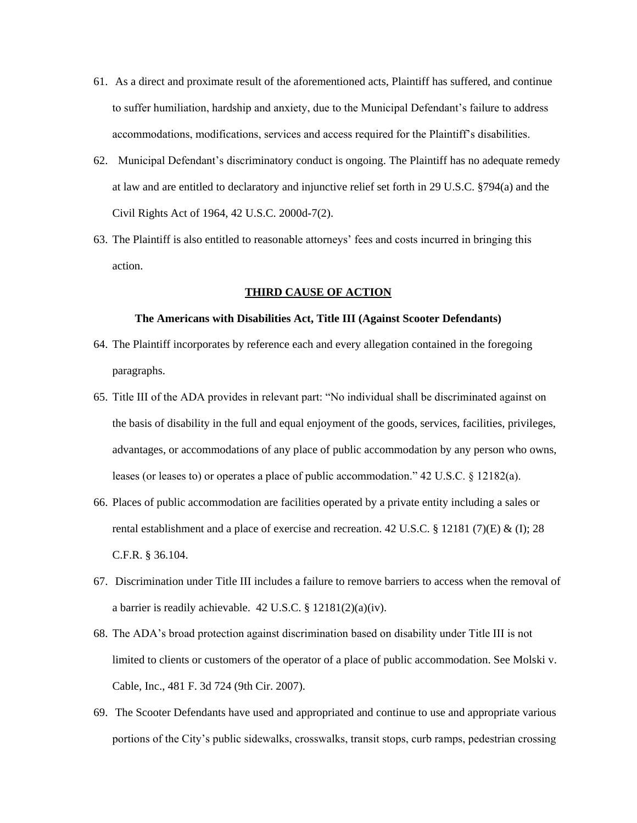- 61. As a direct and proximate result of the aforementioned acts, Plaintiff has suffered, and continue to suffer humiliation, hardship and anxiety, due to the Municipal Defendant's failure to address accommodations, modifications, services and access required for the Plaintiff's disabilities.
- 62. Municipal Defendant's discriminatory conduct is ongoing. The Plaintiff has no adequate remedy at law and are entitled to declaratory and injunctive relief set forth in 29 U.S.C. §794(a) and the Civil Rights Act of 1964, 42 U.S.C. 2000d-7(2).
- 63. The Plaintiff is also entitled to reasonable attorneys' fees and costs incurred in bringing this action.

# **THIRD CAUSE OF ACTION**

# **The Americans with Disabilities Act, Title III (Against Scooter Defendants)**

- 64. The Plaintiff incorporates by reference each and every allegation contained in the foregoing paragraphs.
- 65. Title III of the ADA provides in relevant part: "No individual shall be discriminated against on the basis of disability in the full and equal enjoyment of the goods, services, facilities, privileges, advantages, or accommodations of any place of public accommodation by any person who owns, leases (or leases to) or operates a place of public accommodation." 42 U.S.C. § 12182(a).
- 66. Places of public accommodation are facilities operated by a private entity including a sales or rental establishment and a place of exercise and recreation. 42 U.S.C. § 12181 (7)(E) & (I); 28 C.F.R. § 36.104.
- 67. Discrimination under Title III includes a failure to remove barriers to access when the removal of a barrier is readily achievable. 42 U.S.C. § 12181(2)(a)(iv).
- 68. The ADA's broad protection against discrimination based on disability under Title III is not limited to clients or customers of the operator of a place of public accommodation. See Molski v. Cable, Inc., 481 F. 3d 724 (9th Cir. 2007).
- 69. The Scooter Defendants have used and appropriated and continue to use and appropriate various portions of the City's public sidewalks, crosswalks, transit stops, curb ramps, pedestrian crossing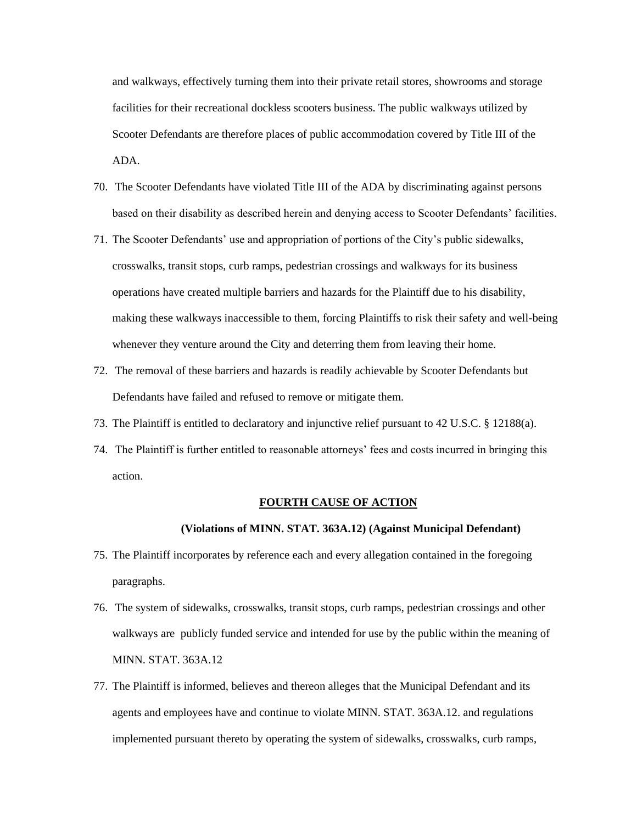and walkways, effectively turning them into their private retail stores, showrooms and storage facilities for their recreational dockless scooters business. The public walkways utilized by Scooter Defendants are therefore places of public accommodation covered by Title III of the ADA.

- 70. The Scooter Defendants have violated Title III of the ADA by discriminating against persons based on their disability as described herein and denying access to Scooter Defendants' facilities.
- 71. The Scooter Defendants' use and appropriation of portions of the City's public sidewalks, crosswalks, transit stops, curb ramps, pedestrian crossings and walkways for its business operations have created multiple barriers and hazards for the Plaintiff due to his disability, making these walkways inaccessible to them, forcing Plaintiffs to risk their safety and well-being whenever they venture around the City and deterring them from leaving their home.
- 72. The removal of these barriers and hazards is readily achievable by Scooter Defendants but Defendants have failed and refused to remove or mitigate them.
- 73. The Plaintiff is entitled to declaratory and injunctive relief pursuant to 42 U.S.C. § 12188(a).
- 74. The Plaintiff is further entitled to reasonable attorneys' fees and costs incurred in bringing this action.

### **FOURTH CAUSE OF ACTION**

# **(Violations of MINN. STAT. 363A.12) (Against Municipal Defendant)**

- 75. The Plaintiff incorporates by reference each and every allegation contained in the foregoing paragraphs.
- 76. The system of sidewalks, crosswalks, transit stops, curb ramps, pedestrian crossings and other walkways are publicly funded service and intended for use by the public within the meaning of MINN. STAT. 363A.12
- 77. The Plaintiff is informed, believes and thereon alleges that the Municipal Defendant and its agents and employees have and continue to violate MINN. STAT. 363A.12. and regulations implemented pursuant thereto by operating the system of sidewalks, crosswalks, curb ramps,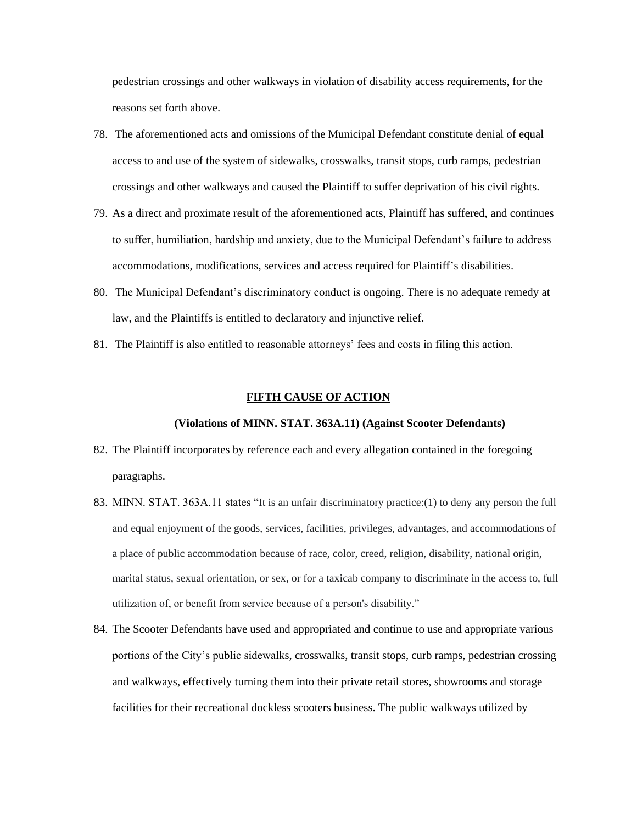pedestrian crossings and other walkways in violation of disability access requirements, for the reasons set forth above.

- 78. The aforementioned acts and omissions of the Municipal Defendant constitute denial of equal access to and use of the system of sidewalks, crosswalks, transit stops, curb ramps, pedestrian crossings and other walkways and caused the Plaintiff to suffer deprivation of his civil rights.
- 79. As a direct and proximate result of the aforementioned acts, Plaintiff has suffered, and continues to suffer, humiliation, hardship and anxiety, due to the Municipal Defendant's failure to address accommodations, modifications, services and access required for Plaintiff's disabilities.
- 80. The Municipal Defendant's discriminatory conduct is ongoing. There is no adequate remedy at law, and the Plaintiffs is entitled to declaratory and injunctive relief.
- 81. The Plaintiff is also entitled to reasonable attorneys' fees and costs in filing this action.

# **FIFTH CAUSE OF ACTION**

# **(Violations of MINN. STAT. 363A.11) (Against Scooter Defendants)**

- 82. The Plaintiff incorporates by reference each and every allegation contained in the foregoing paragraphs.
- 83. MINN. STAT. 363A.11 states "It is an unfair discriminatory practice:(1) to deny any person the full and equal enjoyment of the goods, services, facilities, privileges, advantages, and accommodations of a place of public accommodation because of race, color, creed, religion, disability, national origin, marital status, sexual orientation, or sex, or for a taxicab company to discriminate in the access to, full utilization of, or benefit from service because of a person's disability."
- 84. The Scooter Defendants have used and appropriated and continue to use and appropriate various portions of the City's public sidewalks, crosswalks, transit stops, curb ramps, pedestrian crossing and walkways, effectively turning them into their private retail stores, showrooms and storage facilities for their recreational dockless scooters business. The public walkways utilized by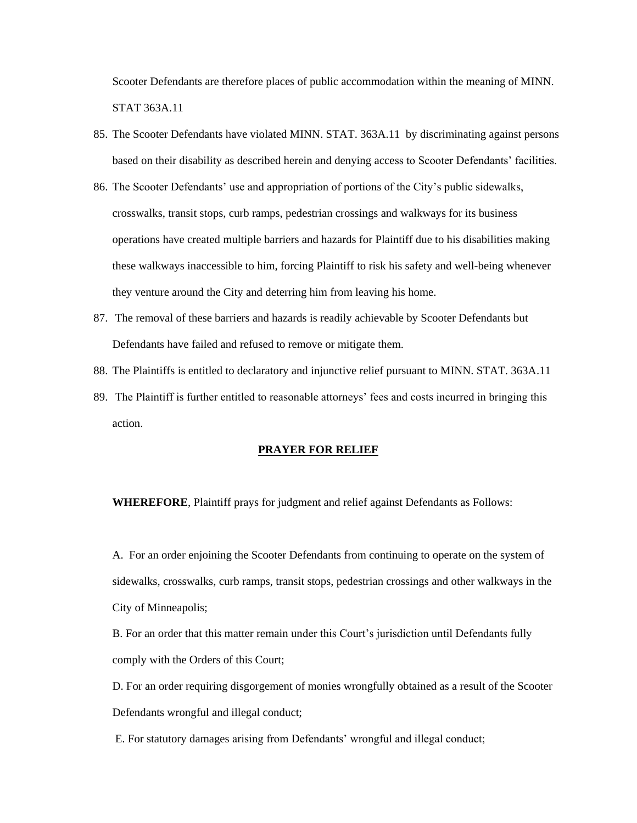Scooter Defendants are therefore places of public accommodation within the meaning of MINN. STAT 363A.11

- 85. The Scooter Defendants have violated MINN. STAT. 363A.11 by discriminating against persons based on their disability as described herein and denying access to Scooter Defendants' facilities.
- 86. The Scooter Defendants' use and appropriation of portions of the City's public sidewalks, crosswalks, transit stops, curb ramps, pedestrian crossings and walkways for its business operations have created multiple barriers and hazards for Plaintiff due to his disabilities making these walkways inaccessible to him, forcing Plaintiff to risk his safety and well-being whenever they venture around the City and deterring him from leaving his home.
- 87. The removal of these barriers and hazards is readily achievable by Scooter Defendants but Defendants have failed and refused to remove or mitigate them.
- 88. The Plaintiffs is entitled to declaratory and injunctive relief pursuant to MINN. STAT. 363A.11
- 89. The Plaintiff is further entitled to reasonable attorneys' fees and costs incurred in bringing this action.

#### **PRAYER FOR RELIEF**

**WHEREFORE**, Plaintiff prays for judgment and relief against Defendants as Follows:

A. For an order enjoining the Scooter Defendants from continuing to operate on the system of sidewalks, crosswalks, curb ramps, transit stops, pedestrian crossings and other walkways in the City of Minneapolis;

B. For an order that this matter remain under this Court's jurisdiction until Defendants fully comply with the Orders of this Court;

D. For an order requiring disgorgement of monies wrongfully obtained as a result of the Scooter Defendants wrongful and illegal conduct;

E. For statutory damages arising from Defendants' wrongful and illegal conduct;